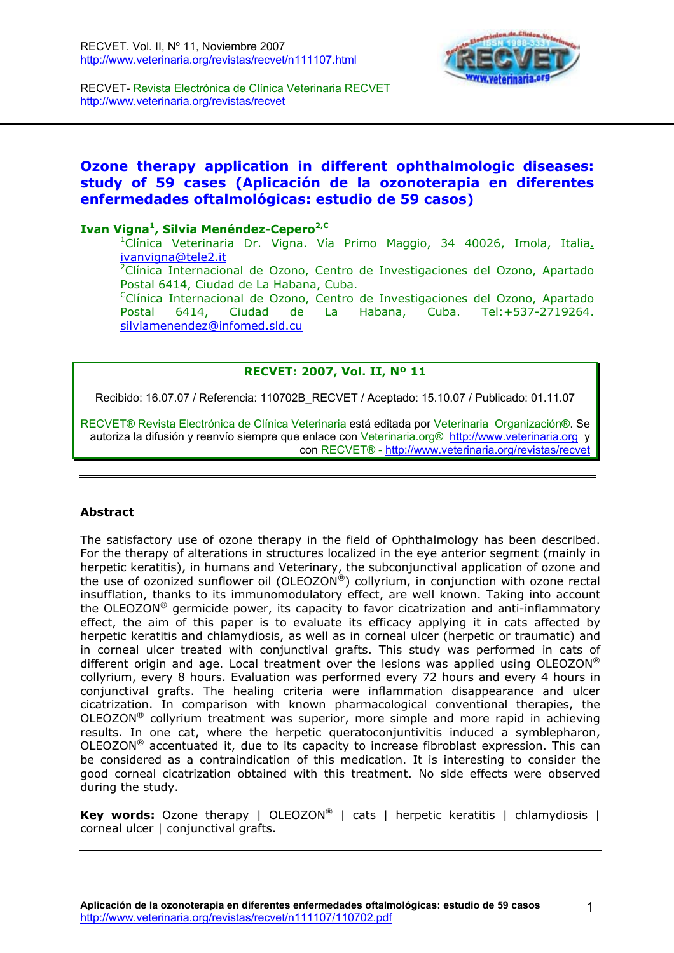

RECVET- Revista Electrónica de Clínica Veterinaria RECVET <http://www.veterinaria.org/revistas/recvet>

# **Ozone therapy application in different ophthalmologic diseases: study of 59 cases (Aplicación de la ozonoterapia en diferentes enfermedades oftalmológicas: estudio de 59 casos)**

### Ivan Vigna<sup>1</sup>, Silvia Menéndez-Cepero<sup>2,C</sup>

<sup>1</sup>Clínica Veterinaria Dr. Vigna. Vía Primo Maggio, 34 40026, Imola, Italia. ivanvigna@tele2.it 2

Clínica Internacional de Ozono, Centro de Investigaciones del Ozono, Apartado Postal 6414, Ciudad de La Habana, Cuba.

CClínica Internacional de Ozono, Centro de Investigaciones del Ozono, Apartado Postal 6414, Ciudad de La Habana, Cuba. Tel:+537-2719264. silviamenendez@infomed.sld.cu

#### **RECVET: 2007, Vol. II, Nº 11**

Recibido: 16.07.07 / Referencia: 110702B\_RECVET / Aceptado: 15.10.07 / Publicado: 01.11.07

RECVET® Revista Electrónica de Clínica Veterinaria está editada por Veterinaria Organización®. Se autoriza la difusión y reenvío siempre que enlace con Veterinaria.org® <http://www.veterinaria.org> y con RECVET® - <http://www.veterinaria.org/revistas/recvet>

#### **Abstract**

The satisfactory use of ozone therapy in the field of Ophthalmology has been described. For the therapy of alterations in structures localized in the eye anterior segment (mainly in herpetic keratitis), in humans and Veterinary, the subconjunctival application of ozone and the use of ozonized sunflower oil (OLEOZON®) collyrium, in conjunction with ozone rectal insufflation, thanks to its immunomodulatory effect, are well known. Taking into account the OLEOZON® germicide power, its capacity to favor cicatrization and anti-inflammatory effect, the aim of this paper is to evaluate its efficacy applying it in cats affected by herpetic keratitis and chlamydiosis, as well as in corneal ulcer (herpetic or traumatic) and in corneal ulcer treated with conjunctival grafts. This study was performed in cats of different origin and age. Local treatment over the lesions was applied using OLEOZON<sup>®</sup> collyrium, every 8 hours. Evaluation was performed every 72 hours and every 4 hours in conjunctival grafts. The healing criteria were inflammation disappearance and ulcer cicatrization. In comparison with known pharmacological conventional therapies, the OLEOZON® collyrium treatment was superior, more simple and more rapid in achieving results. In one cat, where the herpetic queratoconjuntivitis induced a symblepharon, OLEOZON® accentuated it, due to its capacity to increase fibroblast expression. This can be considered as a contraindication of this medication. It is interesting to consider the good corneal cicatrization obtained with this treatment. No side effects were observed during the study.

**Key words:** Ozone therapy | OLEOZON<sup>®</sup> | cats | herpetic keratitis | chlamydiosis | corneal ulcer I conjunctival grafts.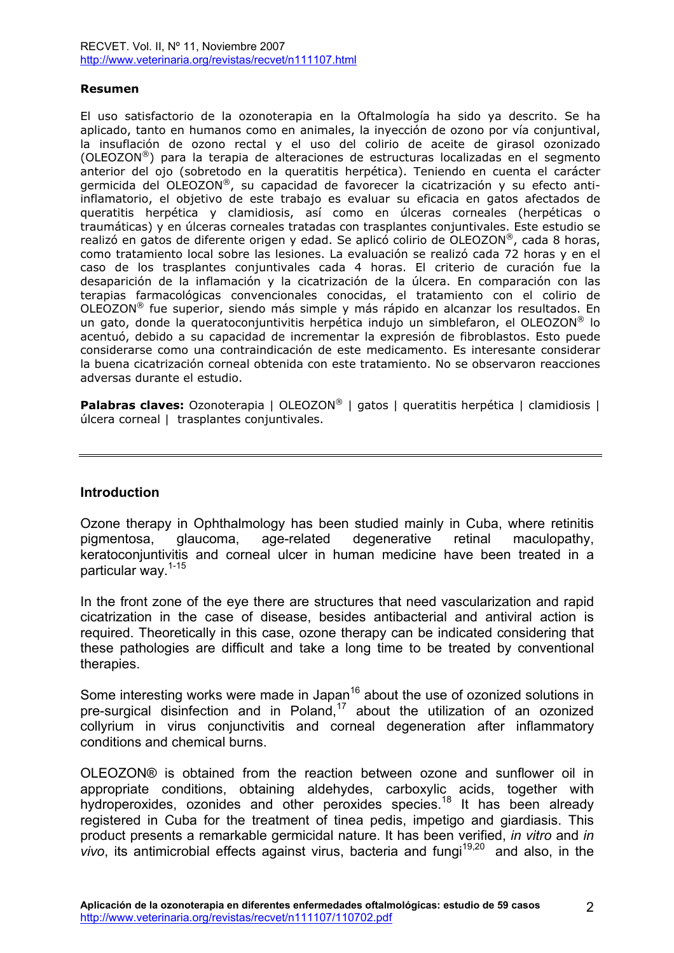#### **Resumen**

El uso satisfactorio de la ozonoterapia en la Oftalmología ha sido ya descrito. Se ha aplicado, tanto en humanos como en animales, la inyección de ozono por vía conjuntival, la insuflación de ozono rectal y el uso del colirio de aceite de girasol ozonizado (OLEOZON®) para la terapia de alteraciones de estructuras localizadas en el segmento anterior del ojo (sobretodo en la queratitis herpética). Teniendo en cuenta el carácter germicida del OLEOZON®, su capacidad de favorecer la cicatrización y su efecto antiinflamatorio, el objetivo de este trabajo es evaluar su eficacia en gatos afectados de queratitis herpética y clamidiosis, así como en úlceras corneales (herpéticas o traumáticas) y en úlceras corneales tratadas con trasplantes conjuntivales. Este estudio se realizó en gatos de diferente origen y edad. Se aplicó colirio de OLEOZON®, cada 8 horas, como tratamiento local sobre las lesiones. La evaluación se realizó cada 72 horas y en el caso de los trasplantes conjuntivales cada 4 horas. El criterio de curación fue la desaparición de la inflamación y la cicatrización de la úlcera. En comparación con las terapias farmacológicas convencionales conocidas, el tratamiento con el colirio de OLEOZON® fue superior, siendo más simple y más rápido en alcanzar los resultados. En un gato, donde la queratoconjuntivitis herpética indujo un simblefaron, el OLEOZON® lo acentuó, debido a su capacidad de incrementar la expresión de fibroblastos. Esto puede considerarse como una contraindicación de este medicamento. Es interesante considerar la buena cicatrización corneal obtenida con este tratamiento. No se observaron reacciones adversas durante el estudio.

**Palabras claves:** Ozonoterapia | OLEOZON<sup>®</sup> | gatos | queratitis herpética | clamidiosis | úlcera corneal | trasplantes conjuntivales.

#### **Introduction**

Ozone therapy in Ophthalmology has been studied mainly in Cuba, where retinitis pigmentosa, glaucoma, age-related degenerative retinal maculopathy, keratoconjuntivitis and corneal ulcer in human medicine have been treated in a particular way.1-15

In the front zone of the eye there are structures that need vascularization and rapid cicatrization in the case of disease, besides antibacterial and antiviral action is required. Theoretically in this case, ozone therapy can be indicated considering that these pathologies are difficult and take a long time to be treated by conventional therapies.

Some interesting works were made in Japan<sup>16</sup> about the use of ozonized solutions in pre-surgical disinfection and in Poland,<sup>17</sup> about the utilization of an ozonized collyrium in virus conjunctivitis and corneal degeneration after inflammatory conditions and chemical burns.

OLEOZON® is obtained from the reaction between ozone and sunflower oil in appropriate conditions, obtaining aldehydes, carboxylic acids, together with hydroperoxides, ozonides and other peroxides species.<sup>18</sup> It has been already registered in Cuba for the treatment of tinea pedis, impetigo and giardiasis. This product presents a remarkable germicidal nature. It has been verified, *in vitro* and *in vivo*, its antimicrobial effects against virus, bacteria and fungi<sup>19,20</sup> and also, in the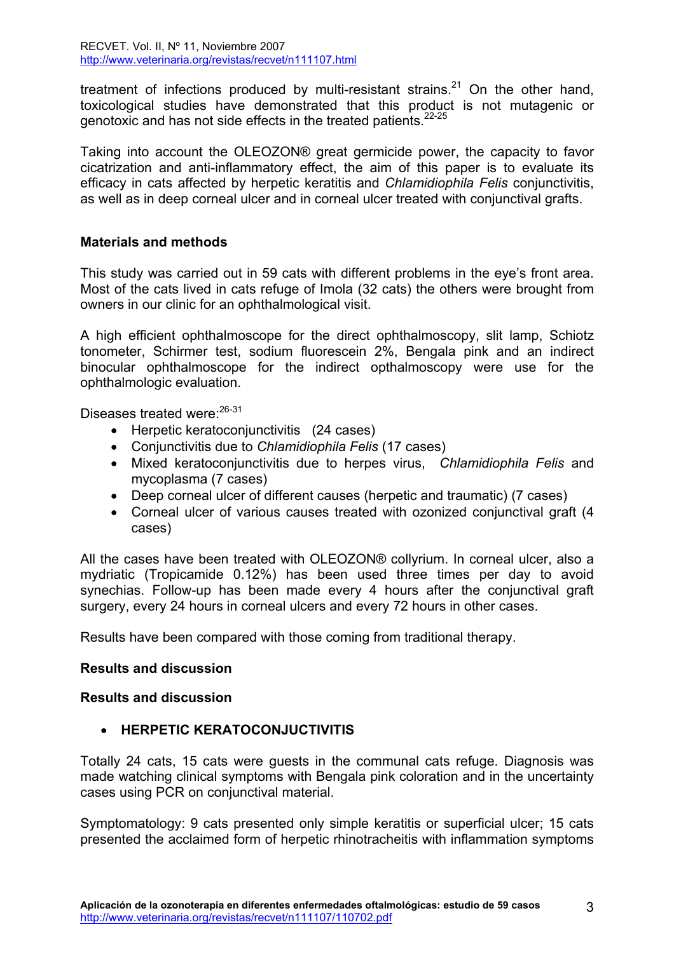treatment of infections produced by multi-resistant strains. $21$  On the other hand, toxicological studies have demonstrated that this product is not mutagenic or genotoxic and has not side effects in the treated patients.<sup>22-25</sup>

Taking into account the OLEOZON® great germicide power, the capacity to favor cicatrization and anti-inflammatory effect, the aim of this paper is to evaluate its efficacy in cats affected by herpetic keratitis and *Chlamidiophila Felis* conjunctivitis, as well as in deep corneal ulcer and in corneal ulcer treated with conjunctival grafts.

## **Materials and methods**

This study was carried out in 59 cats with different problems in the eye's front area. Most of the cats lived in cats refuge of Imola (32 cats) the others were brought from owners in our clinic for an ophthalmological visit.

A high efficient ophthalmoscope for the direct ophthalmoscopy, slit lamp, Schiotz tonometer, Schirmer test, sodium fluorescein 2%, Bengala pink and an indirect binocular ophthalmoscope for the indirect opthalmoscopy were use for the ophthalmologic evaluation.

Diseases treated were: 26-31

- Herpetic keratoconjunctivitis (24 cases)
- Conjunctivitis due to *Chlamidiophila Felis* (17 cases)
- Mixed keratoconjunctivitis due to herpes virus, *Chlamidiophila Felis* and mycoplasma (7 cases)
- Deep corneal ulcer of different causes (herpetic and traumatic) (7 cases)
- Corneal ulcer of various causes treated with ozonized conjunctival graft (4 cases)

All the cases have been treated with OLEOZON® collyrium. In corneal ulcer, also a mydriatic (Tropicamide 0.12%) has been used three times per day to avoid synechias. Follow-up has been made every 4 hours after the conjunctival graft surgery, every 24 hours in corneal ulcers and every 72 hours in other cases.

Results have been compared with those coming from traditional therapy.

## **Results and discussion**

## **Results and discussion**

## • **HERPETIC KERATOCONJUCTIVITIS**

Totally 24 cats, 15 cats were guests in the communal cats refuge. Diagnosis was made watching clinical symptoms with Bengala pink coloration and in the uncertainty cases using PCR on conjunctival material.

Symptomatology: 9 cats presented only simple keratitis or superficial ulcer; 15 cats presented the acclaimed form of herpetic rhinotracheitis with inflammation symptoms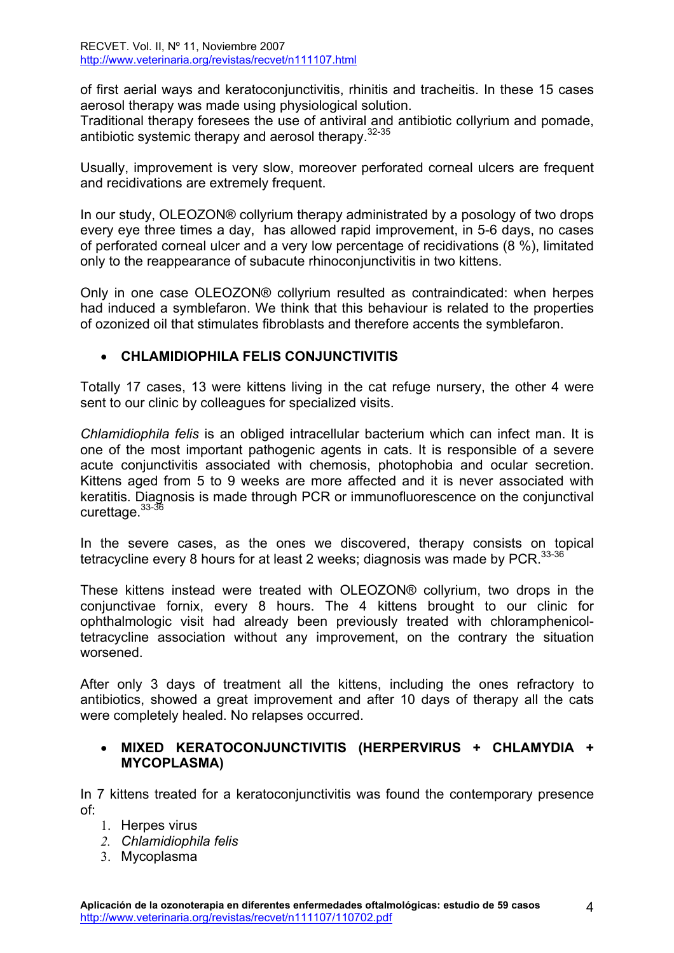of first aerial ways and keratoconjunctivitis, rhinitis and tracheitis. In these 15 cases aerosol therapy was made using physiological solution.

Traditional therapy foresees the use of antiviral and antibiotic collyrium and pomade, antibiotic systemic therapy and aerosol therapy.32-35

Usually, improvement is very slow, moreover perforated corneal ulcers are frequent and recidivations are extremely frequent.

In our study, OLEOZON® collyrium therapy administrated by a posology of two drops every eye three times a day, has allowed rapid improvement, in 5-6 days, no cases of perforated corneal ulcer and a very low percentage of recidivations (8 %), limitated only to the reappearance of subacute rhinoconjunctivitis in two kittens.

Only in one case OLEOZON® collyrium resulted as contraindicated: when herpes had induced a symblefaron. We think that this behaviour is related to the properties of ozonized oil that stimulates fibroblasts and therefore accents the symblefaron.

# • **CHLAMIDIOPHILA FELIS CONJUNCTIVITIS**

Totally 17 cases, 13 were kittens living in the cat refuge nursery, the other 4 were sent to our clinic by colleagues for specialized visits.

*Chlamidiophila felis* is an obliged intracellular bacterium which can infect man. It is one of the most important pathogenic agents in cats. It is responsible of a severe acute conjunctivitis associated with chemosis, photophobia and ocular secretion. Kittens aged from 5 to 9 weeks are more affected and it is never associated with keratitis. Diagnosis is made through PCR or immunofluorescence on the conjunctival curettage.<sup>33-36</sup>

In the severe cases, as the ones we discovered, therapy consists on topical tetracycline every 8 hours for at least 2 weeks; diagnosis was made by  $PCR$ .  $33-36$ 

These kittens instead were treated with OLEOZON® collyrium, two drops in the conjunctivae fornix, every 8 hours. The 4 kittens brought to our clinic for ophthalmologic visit had already been previously treated with chloramphenicoltetracycline association without any improvement, on the contrary the situation worsened.

After only 3 days of treatment all the kittens, including the ones refractory to antibiotics, showed a great improvement and after 10 days of therapy all the cats were completely healed. No relapses occurred.

# • **MIXED KERATOCONJUNCTIVITIS (HERPERVIRUS + CHLAMYDIA + MYCOPLASMA)**

In 7 kittens treated for a keratoconjunctivitis was found the contemporary presence of:

- 1. Herpes virus
- *2. Chlamidiophila felis*
- 3. Mycoplasma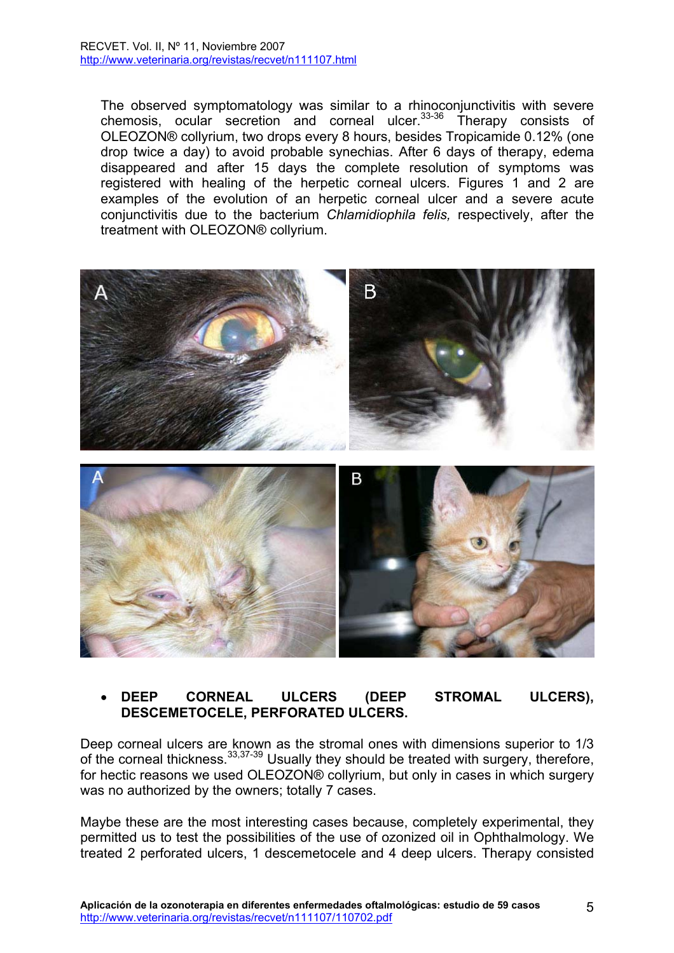The observed symptomatology was similar to a rhinoconjunctivitis with severe chemosis, ocular secretion and corneal ulcer. $33-36$  Therapy consists of OLEOZON® collyrium, two drops every 8 hours, besides Tropicamide 0.12% (one drop twice a day) to avoid probable synechias. After 6 days of therapy, edema disappeared and after 15 days the complete resolution of symptoms was registered with healing of the herpetic corneal ulcers. Figures 1 and 2 are examples of the evolution of an herpetic corneal ulcer and a severe acute conjunctivitis due to the bacterium *Chlamidiophila felis,* respectively, after the treatment with OLEOZON® collyrium.



# • **DEEP CORNEAL ULCERS (DEEP STROMAL ULCERS), DESCEMETOCELE, PERFORATED ULCERS.**

Deep corneal ulcers are known as the stromal ones with dimensions superior to 1/3 of the corneal thickness.33,37-39 Usually they should be treated with surgery, therefore, for hectic reasons we used OLEOZON® collyrium, but only in cases in which surgery was no authorized by the owners; totally 7 cases.

Maybe these are the most interesting cases because, completely experimental, they permitted us to test the possibilities of the use of ozonized oil in Ophthalmology. We treated 2 perforated ulcers, 1 descemetocele and 4 deep ulcers. Therapy consisted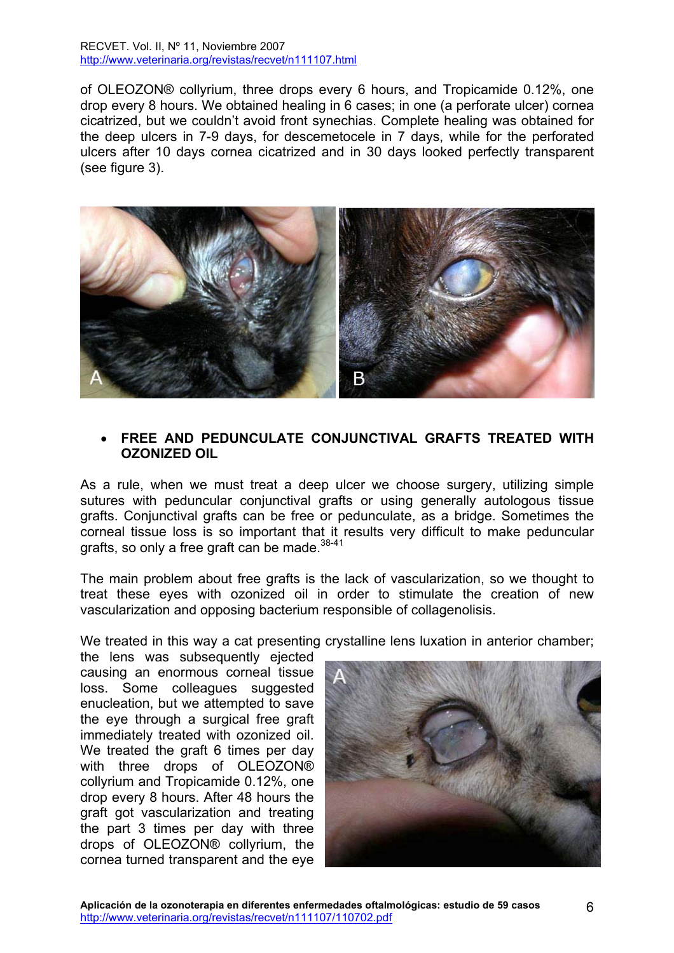of OLEOZON® collyrium, three drops every 6 hours, and Tropicamide 0.12%, one drop every 8 hours. We obtained healing in 6 cases; in one (a perforate ulcer) cornea cicatrized, but we couldn't avoid front synechias. Complete healing was obtained for the deep ulcers in 7-9 days, for descemetocele in 7 days, while for the perforated ulcers after 10 days cornea cicatrized and in 30 days looked perfectly transparent (see figure 3).



### • **FREE AND PEDUNCULATE CONJUNCTIVAL GRAFTS TREATED WITH OZONIZED OIL**

As a rule, when we must treat a deep ulcer we choose surgery, utilizing simple sutures with peduncular conjunctival grafts or using generally autologous tissue grafts. Conjunctival grafts can be free or pedunculate, as a bridge. Sometimes the corneal tissue loss is so important that it results very difficult to make peduncular grafts, so only a free graft can be made.  $38-41$ 

The main problem about free grafts is the lack of vascularization, so we thought to treat these eyes with ozonized oil in order to stimulate the creation of new vascularization and opposing bacterium responsible of collagenolisis.

We treated in this way a cat presenting crystalline lens luxation in anterior chamber;

the lens was subsequently ejected causing an enormous corneal tissue loss. Some colleagues suggested enucleation, but we attempted to save the eye through a surgical free graft immediately treated with ozonized oil. We treated the graft 6 times per day with three drops of OLEOZON® collyrium and Tropicamide 0.12%, one drop every 8 hours. After 48 hours the graft got vascularization and treating the part 3 times per day with three drops of OLEOZON® collyrium, the cornea turned transparent and the eye

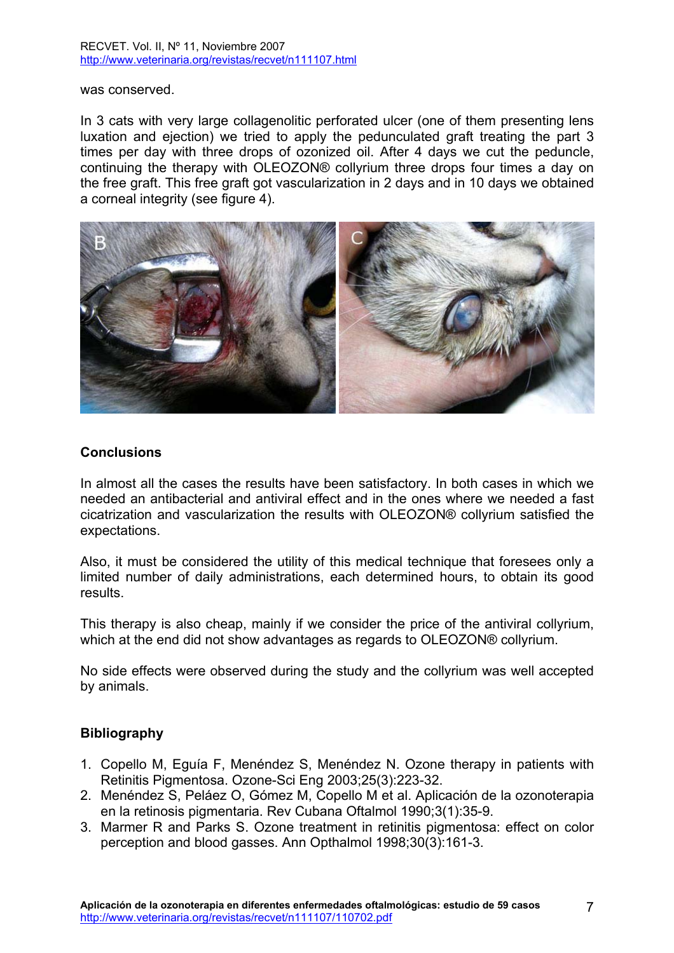was conserved.

In 3 cats with very large collagenolitic perforated ulcer (one of them presenting lens luxation and ejection) we tried to apply the pedunculated graft treating the part 3 times per day with three drops of ozonized oil. After 4 days we cut the peduncle, continuing the therapy with OLEOZON® collyrium three drops four times a day on the free graft. This free graft got vascularization in 2 days and in 10 days we obtained a corneal integrity (see figure 4).



### **Conclusions**

In almost all the cases the results have been satisfactory. In both cases in which we needed an antibacterial and antiviral effect and in the ones where we needed a fast cicatrization and vascularization the results with OLEOZON® collyrium satisfied the expectations.

Also, it must be considered the utility of this medical technique that foresees only a limited number of daily administrations, each determined hours, to obtain its good results.

This therapy is also cheap, mainly if we consider the price of the antiviral collyrium, which at the end did not show advantages as regards to OLEOZON® collyrium.

No side effects were observed during the study and the collyrium was well accepted by animals.

## **Bibliography**

- 1. Copello M, Eguía F, Menéndez S, Menéndez N. Ozone therapy in patients with Retinitis Pigmentosa. Ozone-Sci Eng 2003;25(3):223-32.
- 2. Menéndez S, Peláez O, Gómez M, Copello M et al. Aplicación de la ozonoterapia en la retinosis pigmentaria. Rev Cubana Oftalmol 1990;3(1):35-9.
- 3. Marmer R and Parks S. Ozone treatment in retinitis pigmentosa: effect on color perception and blood gasses. Ann Opthalmol 1998;30(3):161-3.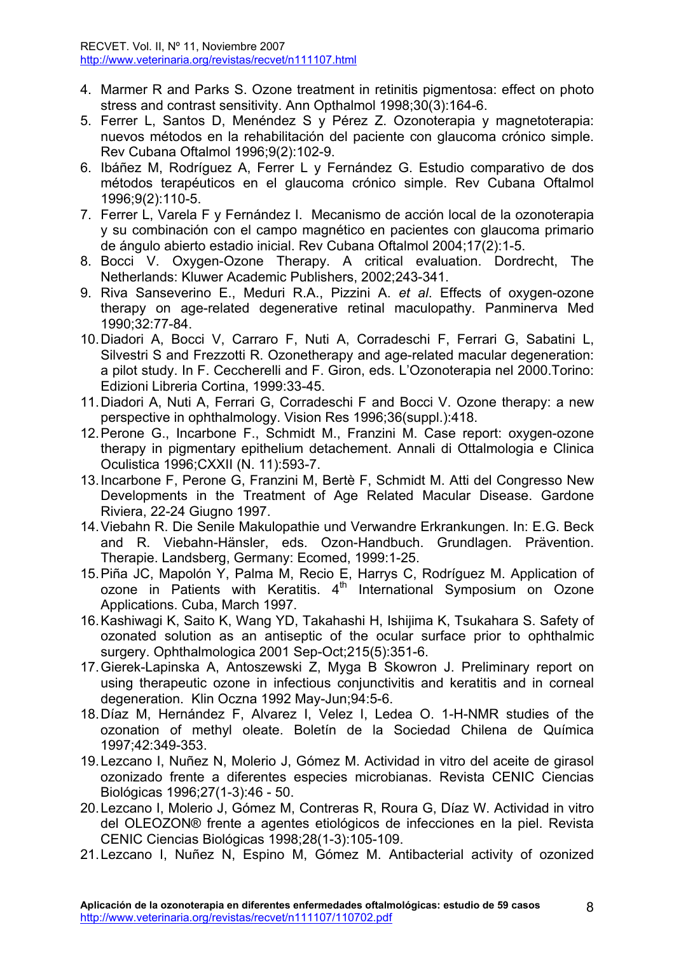- 4. Marmer R and Parks S. Ozone treatment in retinitis pigmentosa: effect on photo stress and contrast sensitivity. Ann Opthalmol 1998;30(3):164-6.
- 5. Ferrer L, Santos D, Menéndez S y Pérez Z. Ozonoterapia y magnetoterapia: nuevos métodos en la rehabilitación del paciente con glaucoma crónico simple. Rev Cubana Oftalmol 1996;9(2):102-9.
- 6. Ibáñez M, Rodríguez A, Ferrer L y Fernández G. Estudio comparativo de dos métodos terapéuticos en el glaucoma crónico simple. Rev Cubana Oftalmol 1996;9(2):110-5.
- 7. Ferrer L, Varela F y Fernández I. Mecanismo de acción local de la ozonoterapia y su combinación con el campo magnético en pacientes con glaucoma primario de ángulo abierto estadio inicial. Rev Cubana Oftalmol 2004;17(2):1-5.
- 8. Bocci V. Oxygen-Ozone Therapy. A critical evaluation. Dordrecht, The Netherlands: Kluwer Academic Publishers, 2002;243-341.
- 9. Riva Sanseverino E., Meduri R.A., Pizzini A. *et al*. Effects of oxygen-ozone therapy on age-related degenerative retinal maculopathy. Panminerva Med 1990;32:77-84.
- 10. Diadori A, Bocci V, Carraro F, Nuti A, Corradeschi F, Ferrari G, Sabatini L, Silvestri S and Frezzotti R. Ozonetherapy and age-related macular degeneration: a pilot study. In F. Ceccherelli and F. Giron, eds. L'Ozonoterapia nel 2000.Torino: Edizioni Libreria Cortina, 1999:33-45.
- 11. Diadori A, Nuti A, Ferrari G, Corradeschi F and Bocci V. Ozone therapy: a new perspective in ophthalmology. Vision Res 1996;36(suppl.):418.
- 12. Perone G., Incarbone F., Schmidt M., Franzini M. Case report: oxygen-ozone therapy in pigmentary epithelium detachement. Annali di Ottalmologia e Clinica Oculistica 1996;CXXII (N. 11):593-7.
- 13. Incarbone F, Perone G, Franzini M, Bertè F, Schmidt M. Atti del Congresso New Developments in the Treatment of Age Related Macular Disease. Gardone Riviera, 22-24 Giugno 1997.
- 14. Viebahn R. Die Senile Makulopathie und Verwandre Erkrankungen. In: E.G. Beck and R. Viebahn-Hänsler, eds. Ozon-Handbuch. Grundlagen. Prävention. Therapie. Landsberg, Germany: Ecomed, 1999:1-25.
- 15. Piña JC, Mapolón Y, Palma M, Recio E, Harrys C, Rodríguez M. Application of ozone in Patients with Keratitis.  $4<sup>th</sup>$  International Symposium on Ozone Applications. Cuba, March 1997.
- 16. Kashiwagi K, Saito K, Wang YD, Takahashi H, Ishijima K, Tsukahara S. Safety of ozonated solution as an antiseptic of the ocular surface prior to ophthalmic surgery. Ophthalmologica 2001 Sep-Oct;215(5):351-6.
- 17. Gierek-Lapinska A, Antoszewski Z, Myga B Skowron J. Preliminary report on using therapeutic ozone in infectious conjunctivitis and keratitis and in corneal degeneration. Klin Oczna 1992 May-Jun;94:5-6.
- 18. Díaz M, Hernández F, Alvarez I, Velez I, Ledea O. 1-H-NMR studies of the ozonation of methyl oleate. Boletín de la Sociedad Chilena de Química 1997;42:349-353.
- 19. Lezcano I, Nuñez N, Molerio J, Gómez M. Actividad in vitro del aceite de girasol ozonizado frente a diferentes especies microbianas. Revista CENIC Ciencias Biológicas 1996;27(1-3):46 - 50.
- 20. Lezcano I, Molerio J, Gómez M, Contreras R, Roura G, Díaz W. Actividad in vitro del OLEOZON® frente a agentes etiológicos de infecciones en la piel. Revista CENIC Ciencias Biológicas 1998;28(1-3):105-109.
- 21. Lezcano I, Nuñez N, Espino M, Gómez M. Antibacterial activity of ozonized